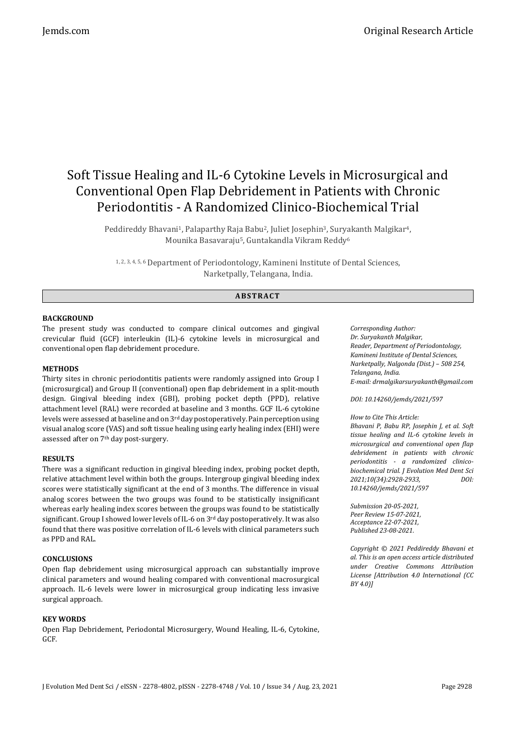# Soft Tissue Healing and IL-6 Cytokine Levels in Microsurgical and Conventional Open Flap Debridement in Patients with Chronic Periodontitis - A Randomized Clinico-Biochemical Trial

Peddireddy Bhavani<sup>1</sup>, Palaparthy Raja Babu<sup>2</sup>, Juliet Josephin<sup>3</sup>, Suryakanth Malgikar<sup>4</sup>, Mounika Basavaraju5, Guntakandla Vikram Reddy<sup>6</sup>

1, 2, 3, 4, 5, 6 Department of Periodontology, Kamineni Institute of Dental Sciences, Narketpally, Telangana, India.

# **ABS TR ACT**

### **BACKGROUND**

The present study was conducted to compare clinical outcomes and gingival crevicular fluid (GCF) interleukin (IL)-6 cytokine levels in microsurgical and conventional open flap debridement procedure.

#### **METHODS**

Thirty sites in chronic periodontitis patients were randomly assigned into Group I (microsurgical) and Group II (conventional) open flap debridement in a split-mouth design. Gingival bleeding index (GBI), probing pocket depth (PPD), relative attachment level (RAL) were recorded at baseline and 3 months. GCF IL-6 cytokine levels were assessed at baseline and on 3rd day postoperatively. Pain perception using visual analog score (VAS) and soft tissue healing using early healing index (EHI) were assessed after on 7th day post-surgery.

#### **RESULTS**

There was a significant reduction in gingival bleeding index, probing pocket depth, relative attachment level within both the groups. Intergroup gingival bleeding index scores were statistically significant at the end of 3 months. The difference in visual analog scores between the two groups was found to be statistically insignificant whereas early healing index scores between the groups was found to be statistically significant. Group I showed lower levels of IL-6 on  $3<sup>rd</sup>$  day postoperatively. It was also found that there was positive correlation of IL-6 levels with clinical parameters such as PPD and RAL.

#### **CONCLUSIONS**

Open flap debridement using microsurgical approach can substantially improve clinical parameters and wound healing compared with conventional macrosurgical approach. IL-6 levels were lower in microsurgical group indicating less invasive surgical approach.

#### **KEY WORDS**

Open Flap Debridement, Periodontal Microsurgery, Wound Healing, IL-6, Cytokine, GCF.

*Corresponding Author: Dr. Suryakanth Malgikar, Reader, Department of Periodontology, Kamineni Institute of Dental Sciences, Narketpally, Nalgonda (Dist.) – 508 254, Telangana, India. E-mail: drmalgikarsuryakanth@gmail.com*

#### *DOI: 10.14260/jemds/2021/597*

*How to Cite This Article:*

*Bhavani P, Babu RP, Josephin J, et al. Soft tissue healing and IL-6 cytokine levels in microsurgical and conventional open flap debridement in patients with chronic periodontitis - a randomized clinicobiochemical trial. J Evolution Med Dent Sci 2021;10(34):2928-2933, DOI: 10.14260/jemds/2021/597*

*Submission 20-05-2021, Peer Review 15-07-2021, Acceptance 22-07-2021, Published 23-08-2021.*

*Copyright © 2021 Peddireddy Bhavani et al. This is an open access article distributed under Creative Commons Attribution License [Attribution 4.0 International (CC BY 4.0)]*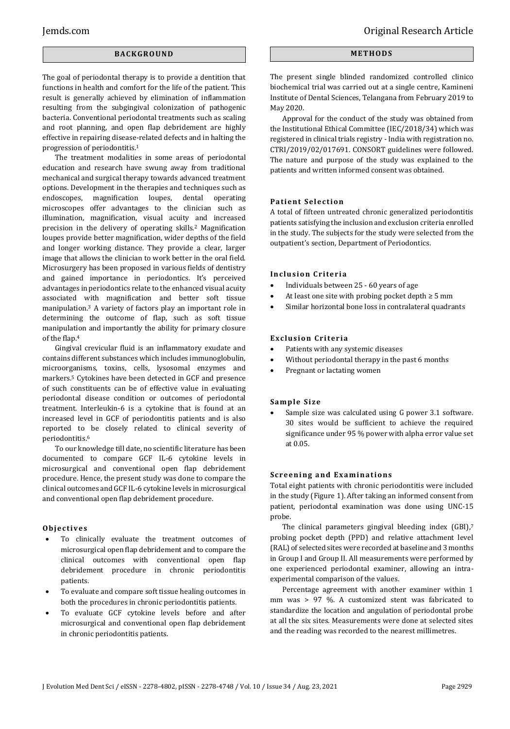## **BACK GR O U ND**

The goal of periodontal therapy is to provide a dentition that functions in health and comfort for the life of the patient. This result is generally achieved by elimination of inflammation resulting from the subgingival colonization of pathogenic bacteria. Conventional periodontal treatments such as scaling and root planning, and open flap debridement are highly effective in repairing disease-related defects and in halting the progression of periodontitis.<sup>1</sup>

The treatment modalities in some areas of periodontal education and research have swung away from traditional mechanical and surgical therapy towards advanced treatment options. Development in the therapies and techniques such as endoscopes, magnification loupes, dental operating microscopes offer advantages to the clinician such as illumination, magnification, visual acuity and increased precision in the delivery of operating skills.<sup>2</sup> Magnification loupes provide better magnification, wider depths of the field and longer working distance. They provide a clear, larger image that allows the clinician to work better in the oral field. Microsurgery has been proposed in various fields of dentistry and gained importance in periodontics. It's perceived advantages in periodontics relate to the enhanced visual acuity associated with magnification and better soft tissue manipulation.<sup>3</sup> A variety of factors play an important role in determining the outcome of flap, such as soft tissue manipulation and importantly the ability for primary closure of the flap.<sup>4</sup>

Gingival crevicular fluid is an inflammatory exudate and contains different substances which includes immunoglobulin, microorganisms, toxins, cells, lysosomal enzymes and markers.<sup>5</sup> Cytokines have been detected in GCF and presence of such constituents can be of effective value in evaluating periodontal disease condition or outcomes of periodontal treatment. Interleukin-6 is a cytokine that is found at an increased level in GCF of periodontitis patients and is also reported to be closely related to clinical severity of periodontitis.<sup>6</sup>

To our knowledge till date, no scientific literature has been documented to compare GCF IL-6 cytokine levels in microsurgical and conventional open flap debridement procedure. Hence, the present study was done to compare the clinical outcomes and GCF IL-6 cytokine levels in microsurgical and conventional open flap debridement procedure.

#### **Obj e c ti ve s**

- To clinically evaluate the treatment outcomes of microsurgical open flap debridement and to compare the clinical outcomes with conventional open flap debridement procedure in chronic periodontitis patients.
- To evaluate and compare soft tissue healing outcomes in both the procedures in chronic periodontitis patients.
- To evaluate GCF cytokine levels before and after microsurgical and conventional open flap debridement in chronic periodontitis patients.

## **ME TH OD S**

The present single blinded randomized controlled clinico biochemical trial was carried out at a single centre, Kamineni Institute of Dental Sciences, Telangana from February 2019 to May 2020.

Approval for the conduct of the study was obtained from the Institutional Ethical Committee (IEC/2018/34) which was registered in clinical trials registry - India with registration no. CTRI/2019/02/017691. CONSORT guidelines were followed. The nature and purpose of the study was explained to the patients and written informed consent was obtained.

#### **Patient Selection**

A total of fifteen untreated chronic generalized periodontitis patients satisfying the inclusion and exclusion criteria enrolled in the study. The subjects for the study were selected from the outpatient's section, Department of Periodontics.

#### **Inclusion Criteria**

- Individuals between 25 60 years of age
- At least one site with probing pocket depth  $\geq 5$  mm
- Similar horizontal bone loss in contralateral quadrants

#### **Exclusion Criteria**

- Patients with any systemic diseases
- Without periodontal therapy in the past 6 months
- Pregnant or lactating women

#### **Sam ple Si ze**

 Sample size was calculated using G power 3.1 software. 30 sites would be sufficient to achieve the required significance under 95 % power with alpha error value set at 0.05.

#### **Screening and Examinations**

Total eight patients with chronic periodontitis were included in the study (Figure 1). After taking an informed consent from patient, periodontal examination was done using UNC-15 probe.

The clinical parameters gingival bleeding index (GBI),7 probing pocket depth (PPD) and relative attachment level (RAL) of selected sites were recorded at baseline and 3 months in Group I and Group II. All measurements were performed by one experienced periodontal examiner, allowing an intraexperimental comparison of the values.

Percentage agreement with another examiner within 1 mm was > 97 %. A customized stent was fabricated to standardize the location and angulation of periodontal probe at all the six sites. Measurements were done at selected sites and the reading was recorded to the nearest millimetres.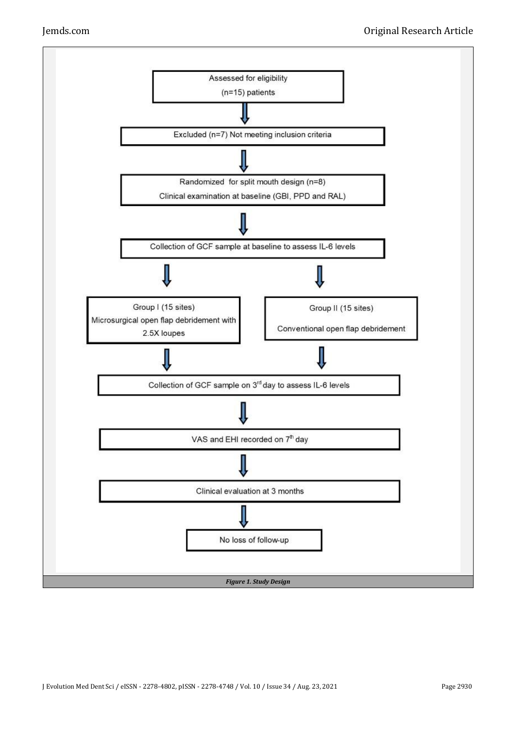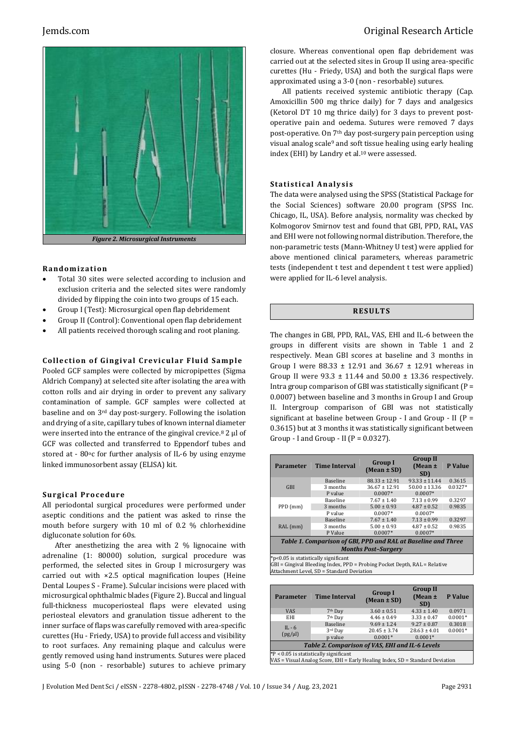

#### **R ando mi z a ti o n**

- Total 30 sites were selected according to inclusion and exclusion criteria and the selected sites were randomly divided by flipping the coin into two groups of 15 each.
- Group I (Test): Microsurgical open flap debridement
- Group II (Control): Conventional open flap debridement
- All patients received thorough scaling and root planing.

#### **Collection of Gingival Crevicular Fluid Sample**

Pooled GCF samples were collected by micropipettes (Sigma Aldrich Company) at selected site after isolating the area with cotton rolls and air drying in order to prevent any salivary contamination of sample. GCF samples were collected at baseline and on 3rd day post-surgery. Following the isolation and drying of a site, capillary tubes of known internal diameter were inserted into the entrance of the gingival crevice. $8$  2  $\mu$ l of GCF was collected and transferred to Eppendorf tubes and stored at - 80°c for further analysis of IL-6 by using enzyme linked immunosorbent assay (ELISA) kit.

#### **Surgical Procedure**

All periodontal surgical procedures were performed under aseptic conditions and the patient was asked to rinse the mouth before surgery with 10 ml of 0.2 % chlorhexidine digluconate solution for 60s.

After anesthetizing the area with 2 % lignocaine with adrenaline (1: 80000) solution, surgical procedure was performed, the selected sites in Group I microsurgery was carried out with ×2.5 optical magnification loupes (Heine Dental Loupes S - Frame). Sulcular incisions were placed with microsurgical ophthalmic blades (Figure 2). Buccal and lingual full-thickness mucoperiosteal flaps were elevated using periosteal elevators and granulation tissue adherent to the inner surface of flaps was carefully removed with area-specific curettes (Hu - Friedy, USA) to provide full access and visibility to root surfaces. Any remaining plaque and calculus were gently removed using hand instruments. Sutures were placed using 5-0 (non - resorbable) sutures to achieve primary

# Jemds.com Original Research Article

closure. Whereas conventional open flap debridement was carried out at the selected sites in Group II using area-specific curettes (Hu - Friedy, USA) and both the surgical flaps were approximated using a 3-0 (non - resorbable) sutures.

All patients received systemic antibiotic therapy (Cap. Amoxicillin 500 mg thrice daily) for 7 days and analgesics (Ketorol DT 10 mg thrice daily) for 3 days to prevent postoperative pain and oedema. Sutures were removed 7 days post-operative. On 7<sup>th</sup> day post-surgery pain perception using visual analog scale<sup>9</sup> and soft tissue healing using early healing index (EHI) by Landry et al.<sup>10</sup> were assessed.

#### **S ta ti s ti cal An aly si s**

The data were analysed using the SPSS (Statistical Package for the Social Sciences) software 20.00 program (SPSS Inc. Chicago, IL, USA). Before analysis, normality was checked by Kolmogorov Smirnov test and found that GBI, PPD, RAL, VAS and EHI were not following normal distribution. Therefore, the non-parametric tests (Mann-Whitney U test) were applied for above mentioned clinical parameters, whereas parametric tests (independent t test and dependent t test were applied) were applied for IL-6 level analysis.

#### **R ES U LT S**

The changes in GBI, PPD, RAL, VAS, EHI and IL-6 between the groups in different visits are shown in Table 1 and 2 respectively. Mean GBI scores at baseline and 3 months in Group I were  $88.33 \pm 12.91$  and  $36.67 \pm 12.91$  whereas in Group II were  $93.3 \pm 11.44$  and  $50.00 \pm 13.36$  respectively. Intra group comparison of GBI was statistically significant ( $P =$ 0.0007) between baseline and 3 months in Group I and Group II. Intergroup comparison of GBI was not statistically significant at baseline between Group - I and Group - II (P = 0.3615) but at 3 months it was statistically significant between Group - I and Group - II ( $P = 0.0327$ ).

| <b>Parameter</b>                                              | <b>Time Interval</b> | <b>Group I</b><br>$(Mean \pm SD)$ | <b>Group II</b><br>$(Mean \pm)$<br>SD) | P Value   |  |  |
|---------------------------------------------------------------|----------------------|-----------------------------------|----------------------------------------|-----------|--|--|
| <b>GBI</b>                                                    | <b>Baseline</b>      | $88.33 \pm 12.91$                 | $93.33 \pm 11.44$                      | 0.3615    |  |  |
|                                                               | 3 months             | $36.67 \pm 12.91$                 | $50.00 \pm 13.36$                      | $0.0327*$ |  |  |
|                                                               | P value              | $0.0007*$                         | $0.0007*$                              |           |  |  |
| $PPD$ (mm)                                                    | <b>Baseline</b>      | $7.67 \pm 1.40$                   | $7.13 \pm 0.99$                        | 0.3297    |  |  |
|                                                               | 3 months             | $5.00 \pm 0.93$                   | $4.87 \pm 0.52$                        | 0.9835    |  |  |
|                                                               | P value              | $0.0007*$                         | $0.0007*$                              |           |  |  |
| RAL (mm)                                                      | Baseline             | $7.67 \pm 1.40$                   | $7.13 \pm 0.99$                        | 0.3297    |  |  |
|                                                               | 3 months             | $5.00 \pm 0.93$                   | $4.87 \pm 0.52$                        | 0.9835    |  |  |
|                                                               | P Value              | $0.0007*$                         | $0.0007*$                              |           |  |  |
| Table 1. Comparison of GBI, PPD and RAL at Baseline and Three |                      |                                   |                                        |           |  |  |

*Months Post–Surgery*

\*p<0.05 is statistically significant

GBI = Gingival Bleeding Index, PPD = Probing Pocket Depth, RAL = Relative Attachment Level, SD = Standard Deviation

| <b>Parameter</b>                                                              | <b>Time Interval</b> | <b>Group I</b><br>$(Mean \pm SD)$ | <b>Group II</b><br>$(Mean \pm)$<br>SD) | <b>P</b> Value |  |  |
|-------------------------------------------------------------------------------|----------------------|-----------------------------------|----------------------------------------|----------------|--|--|
| <b>VAS</b>                                                                    | 7 <sup>th</sup> Day  | $3.60 \pm 0.51$                   | $4.33 \pm 1.40$                        | 0.0971         |  |  |
| EHI                                                                           | 7 <sup>th</sup> Day  | $4.46 \pm 0.49$                   | $3.33 \pm 0.47$                        | $0.0001*$      |  |  |
| $IL - 6$<br>(pg/µ)                                                            | Baseline             | $9.69 \pm 1.24$                   | $9.27 \pm 0.87$                        | 0.3018         |  |  |
|                                                                               | 3rd Day              | $20.45 \pm 3.74$                  | $28.63 \pm 4.01$                       | $0.0001*$      |  |  |
|                                                                               | p value              | $0.0001*$                         | $0.0001*$                              |                |  |  |
| Table 2. Comparison of VAS, EHI and IL-6 Levels                               |                      |                                   |                                        |                |  |  |
| $*P < 0.05$ is statistically significant                                      |                      |                                   |                                        |                |  |  |
| VAS = Visual Analog Score, EHI = Early Healing Index, SD = Standard Deviation |                      |                                   |                                        |                |  |  |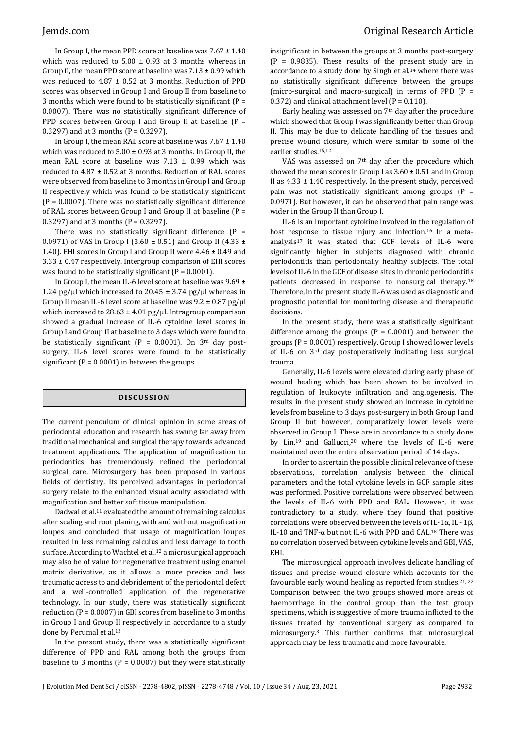In Group I, the mean PPD score at baseline was  $7.67 \pm 1.40$ which was reduced to  $5.00 \pm 0.93$  at 3 months whereas in Group II, the mean PPD score at baseline was  $7.13 \pm 0.99$  which was reduced to 4.87 ± 0.52 at 3 months. Reduction of PPD scores was observed in Group I and Group II from baseline to 3 months which were found to be statistically significant (P = 0.0007). There was no statistically significant difference of PPD scores between Group I and Group II at baseline  $(P =$ 0.3297) and at 3 months  $(P = 0.3297)$ .

In Group I, the mean RAL score at baseline was  $7.67 \pm 1.40$ which was reduced to  $5.00 \pm 0.93$  at 3 months. In Group II, the mean RAL score at baseline was  $7.13 \pm 0.99$  which was reduced to 4.87 ± 0.52 at 3 months. Reduction of RAL scores were observed from baseline to 3 months in Group I and Group II respectively which was found to be statistically significant  $(P = 0.0007)$ . There was no statistically significant difference of RAL scores between Group I and Group II at baseline (P = 0.3297) and at 3 months ( $P = 0.3297$ ).

There was no statistically significant difference  $(P =$ 0.0971) of VAS in Group I (3.60 ± 0.51) and Group II (4.33 ± 1.40). EHI scores in Group I and Group II were  $4.46 \pm 0.49$  and 3.33 ± 0.47 respectively. Intergroup comparison of EHI scores was found to be statistically significant ( $P = 0.0001$ ).

In Group I, the mean IL-6 level score at baseline was  $9.69 \pm$ 1.24 pg/ $\mu$ l which increased to 20.45  $\pm$  3.74 pg/ $\mu$ l whereas in Group II mean IL-6 level score at baseline was  $9.2 \pm 0.87$  pg/ $\mu$ l which increased to  $28.63 \pm 4.01$  pg/ $\mu$ l. Intragroup comparison showed a gradual increase of IL-6 cytokine level scores in Group I and Group II at baseline to 3 days which were found to be statistically significant (P =  $0.0001$ ). On 3<sup>rd</sup> day postsurgery, IL-6 level scores were found to be statistically significant ( $P = 0.0001$ ) in between the groups.

# **DI SCU S SI ON**

The current pendulum of clinical opinion in some areas of periodontal education and research has swung far away from traditional mechanical and surgical therapy towards advanced treatment applications. The application of magnification to periodontics has tremendously refined the periodontal surgical care. Microsurgery has been proposed in various fields of dentistry. Its perceived advantages in periodontal surgery relate to the enhanced visual acuity associated with magnification and better soft tissue manipulation.

Dadwal et al.<sup>11</sup> evaluated the amount of remaining calculus after scaling and root planing, with and without magnification loupes and concluded that usage of magnification loupes resulted in less remaining calculus and less damage to tooth surface. According to Wachtel et al.<sup>12</sup> a microsurgical approach may also be of value for regenerative treatment using enamel matrix derivative, as it allows a more precise and less traumatic access to and debridement of the periodontal defect and a well-controlled application of the regenerative technology. In our study, there was statistically significant reduction ( $P = 0.0007$ ) in GBI scores from baseline to 3 months in Group I and Group II respectively in accordance to a study done by Perumal et al. 13

In the present study, there was a statistically significant difference of PPD and RAL among both the groups from baseline to 3 months ( $P = 0.0007$ ) but they were statistically

insignificant in between the groups at 3 months post-surgery  $(P = 0.9835)$ . These results of the present study are in accordance to a study done by Singh et al.<sup>14</sup> where there was no statistically significant difference between the groups (micro-surgical and macro-surgical) in terms of PPD (P = 0.372) and clinical attachment level ( $P = 0.110$ ).

Early healing was assessed on 7th day after the procedure which showed that Group I was significantly better than Group II. This may be due to delicate handling of the tissues and precise wound closure, which were similar to some of the earlier studies.15,12

VAS was assessed on 7th day after the procedure which showed the mean scores in Group I as  $3.60 \pm 0.51$  and in Group II as  $4.33 \pm 1.40$  respectively. In the present study, perceived pain was not statistically significant among groups  $(P =$ 0.0971). But however, it can be observed that pain range was wider in the Group II than Group I.

IL-6 is an important cytokine involved in the regulation of host response to tissue injury and infection.<sup>16</sup> In a metaanalysis17 it was stated that GCF levels of IL-6 were significantly higher in subjects diagnosed with chronic periodontitis than periodontally healthy subjects. The total levels of IL-6 in the GCF of disease sites in chronic periodontitis patients decreased in response to nonsurgical therapy.<sup>18</sup> Therefore, in the present study IL-6 was used as diagnostic and prognostic potential for monitoring disease and therapeutic decisions.

In the present study, there was a statistically significant difference among the groups ( $P = 0.0001$ ) and between the groups (P = 0.0001) respectively. Group I showed lower levels of IL-6 on 3rd day postoperatively indicating less surgical trauma.

Generally, IL-6 levels were elevated during early phase of wound healing which has been shown to be involved in regulation of leukocyte infiltration and angiogenesis. The results in the present study showed an increase in cytokine levels from baseline to 3 days post-surgery in both Group I and Group II but however, comparatively lower levels were observed in Group I. These are in accordance to a study done by Lin.<sup>19</sup> and Gallucci,<sup>20</sup> where the levels of IL-6 were maintained over the entire observation period of 14 days.

In order to ascertain the possible clinical relevance of these observations, correlation analysis between the clinical parameters and the total cytokine levels in GCF sample sites was performed. Positive correlations were observed between the levels of IL-6 with PPD and RAL. However, it was contradictory to a study, where they found that positive correlations were observed between the levels of IL-1α, IL - 1β, IL-10 and TNF-α but not IL-6 with PPD and CAL.<sup>18</sup> There was no correlation observed between cytokine levels and GBI, VAS, EHI.

The microsurgical approach involves delicate handling of tissues and precise wound closure which accounts for the favourable early wound healing as reported from studies.<sup>21, 22</sup> Comparison between the two groups showed more areas of haemorrhage in the control group than the test group specimens, which is suggestive of more trauma inflicted to the tissues treated by conventional surgery as compared to microsurgery.<sup>3</sup> This further confirms that microsurgical approach may be less traumatic and more favourable.